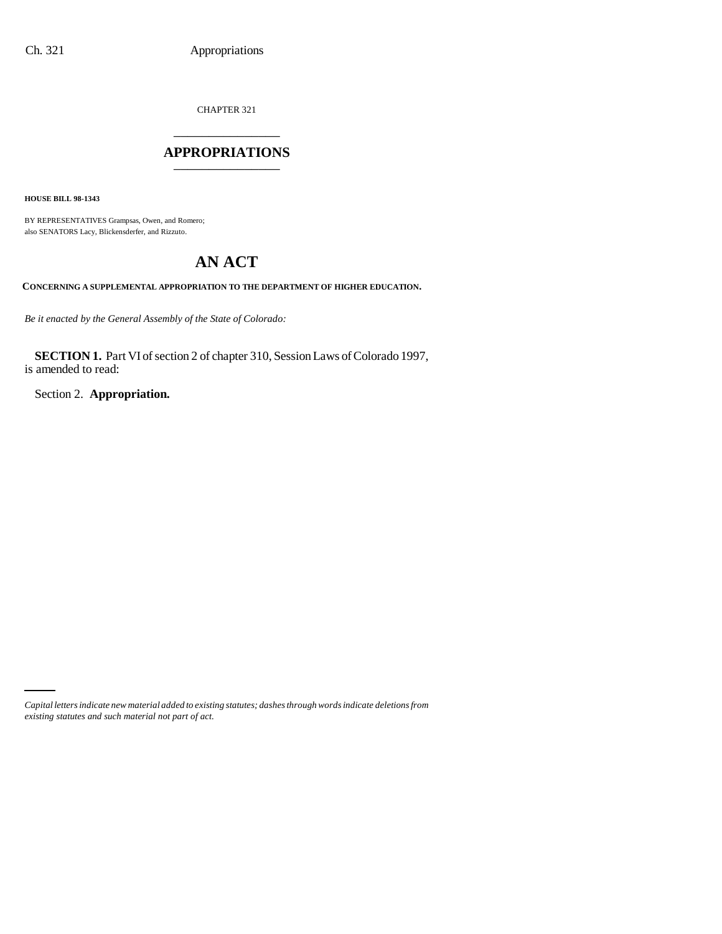CHAPTER 321 \_\_\_\_\_\_\_\_\_\_\_\_\_\_\_

### **APPROPRIATIONS** \_\_\_\_\_\_\_\_\_\_\_\_\_\_\_

**HOUSE BILL 98-1343**

BY REPRESENTATIVES Grampsas, Owen, and Romero; also SENATORS Lacy, Blickensderfer, and Rizzuto.

# **AN ACT**

**CONCERNING A SUPPLEMENTAL APPROPRIATION TO THE DEPARTMENT OF HIGHER EDUCATION.**

*Be it enacted by the General Assembly of the State of Colorado:*

**SECTION 1.** Part VI of section 2 of chapter 310, Session Laws of Colorado 1997, is amended to read:

Section 2. **Appropriation.**

*Capital letters indicate new material added to existing statutes; dashes through words indicate deletions from existing statutes and such material not part of act.*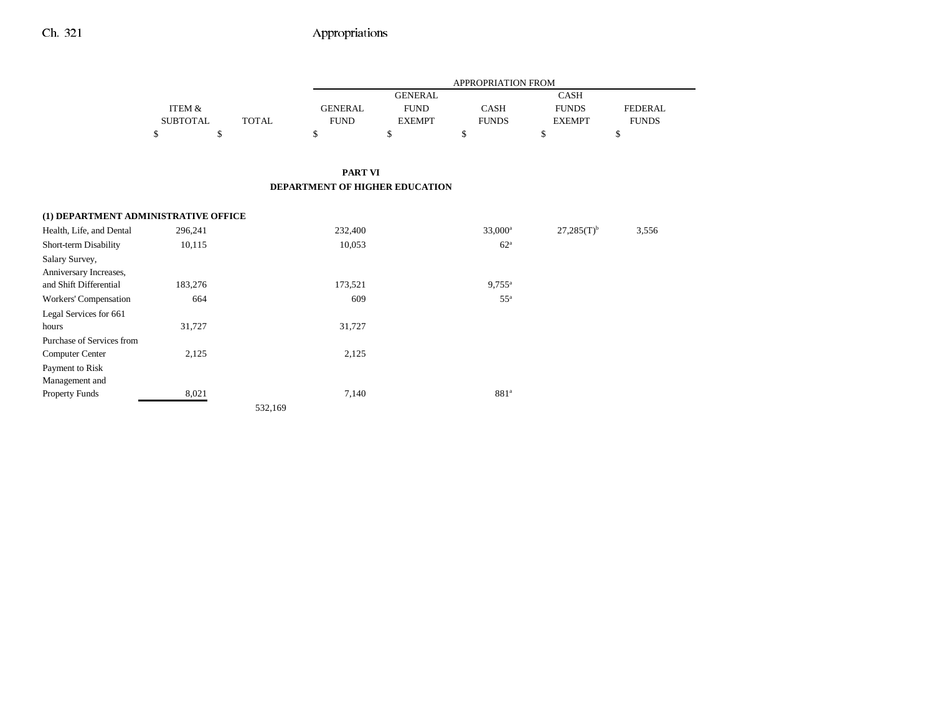|                                      |                 |              | APPROPRIATION FROM             |                |                  |                 |                |
|--------------------------------------|-----------------|--------------|--------------------------------|----------------|------------------|-----------------|----------------|
|                                      |                 |              |                                | <b>GENERAL</b> |                  | <b>CASH</b>     |                |
|                                      | ITEM &          |              | <b>GENERAL</b>                 | <b>FUND</b>    | CASH             | <b>FUNDS</b>    | <b>FEDERAL</b> |
|                                      | <b>SUBTOTAL</b> | <b>TOTAL</b> | <b>FUND</b>                    | <b>EXEMPT</b>  | <b>FUNDS</b>     | <b>EXEMPT</b>   | <b>FUNDS</b>   |
|                                      | \$<br>\$        |              | \$                             | \$             | \$               | \$              | \$             |
|                                      |                 |              |                                |                |                  |                 |                |
|                                      |                 |              | <b>PART VI</b>                 |                |                  |                 |                |
|                                      |                 |              | DEPARTMENT OF HIGHER EDUCATION |                |                  |                 |                |
|                                      |                 |              |                                |                |                  |                 |                |
| (1) DEPARTMENT ADMINISTRATIVE OFFICE |                 |              |                                |                |                  |                 |                |
| Health, Life, and Dental             | 296,241         |              | 232,400                        |                | $33,000^a$       | $27,285(T)^{b}$ | 3,556          |
| Short-term Disability                | 10,115          |              | 10,053                         |                | 62 <sup>a</sup>  |                 |                |
| Salary Survey,                       |                 |              |                                |                |                  |                 |                |
| Anniversary Increases,               |                 |              |                                |                |                  |                 |                |
| and Shift Differential               | 183,276         |              | 173,521                        |                | $9,755^{\circ}$  |                 |                |
| Workers' Compensation                | 664             |              | 609                            |                | $55^{\circ}$     |                 |                |
| Legal Services for 661               |                 |              |                                |                |                  |                 |                |
| hours                                | 31,727          |              | 31,727                         |                |                  |                 |                |
| Purchase of Services from            |                 |              |                                |                |                  |                 |                |
| Computer Center                      | 2,125           |              | 2,125                          |                |                  |                 |                |
| Payment to Risk                      |                 |              |                                |                |                  |                 |                |
| Management and                       |                 |              |                                |                |                  |                 |                |
| Property Funds                       | 8,021           |              | 7,140                          |                | 881 <sup>a</sup> |                 |                |

532,169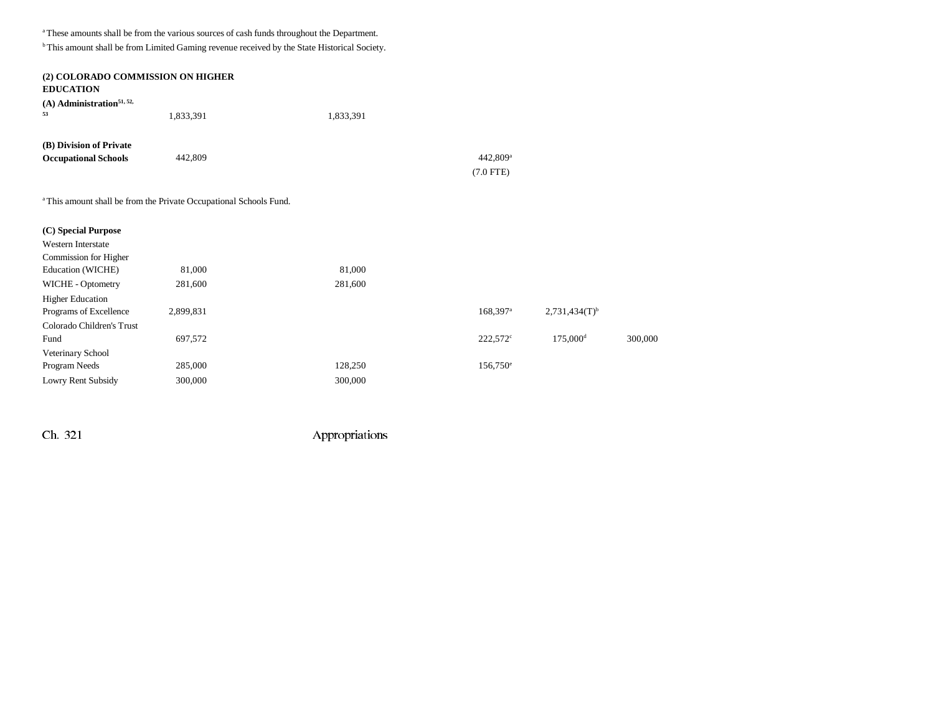$^{\rm a}$  These amounts shall be from the various sources of cash funds throughout the Department.

b This amount shall be from Limited Gaming revenue received by the State Historical Society.

| (2) COLORADO COMMISSION ON HIGHER<br><b>EDUCATION</b>                         |           |           |                        |                             |         |
|-------------------------------------------------------------------------------|-----------|-----------|------------------------|-----------------------------|---------|
| (A) Administration <sup>51, 52,</sup><br>53                                   | 1,833,391 | 1,833,391 |                        |                             |         |
| (B) Division of Private                                                       |           |           |                        |                             |         |
| <b>Occupational Schools</b>                                                   | 442,809   |           | 442,809 <sup>a</sup>   |                             |         |
|                                                                               |           |           | $(7.0$ FTE)            |                             |         |
| <sup>a</sup> This amount shall be from the Private Occupational Schools Fund. |           |           |                        |                             |         |
| (C) Special Purpose                                                           |           |           |                        |                             |         |
| <b>Western Interstate</b>                                                     |           |           |                        |                             |         |
| Commission for Higher                                                         |           |           |                        |                             |         |
| Education (WICHE)                                                             | 81,000    | 81,000    |                        |                             |         |
| WICHE - Optometry                                                             | 281,600   | 281,600   |                        |                             |         |
| <b>Higher Education</b>                                                       |           |           |                        |                             |         |
| Programs of Excellence                                                        | 2,899,831 |           | $168,397$ <sup>a</sup> | $2,731,434(T)$ <sup>b</sup> |         |
| Colorado Children's Trust                                                     |           |           |                        |                             |         |
| Fund                                                                          | 697,572   |           | $222,572$ °            | 175,000 <sup>d</sup>        | 300,000 |
| Veterinary School                                                             |           |           |                        |                             |         |
| Program Needs                                                                 | 285,000   | 128,250   | $156,750^{\circ}$      |                             |         |
| Lowry Rent Subsidy                                                            | 300,000   | 300,000   |                        |                             |         |
|                                                                               |           |           |                        |                             |         |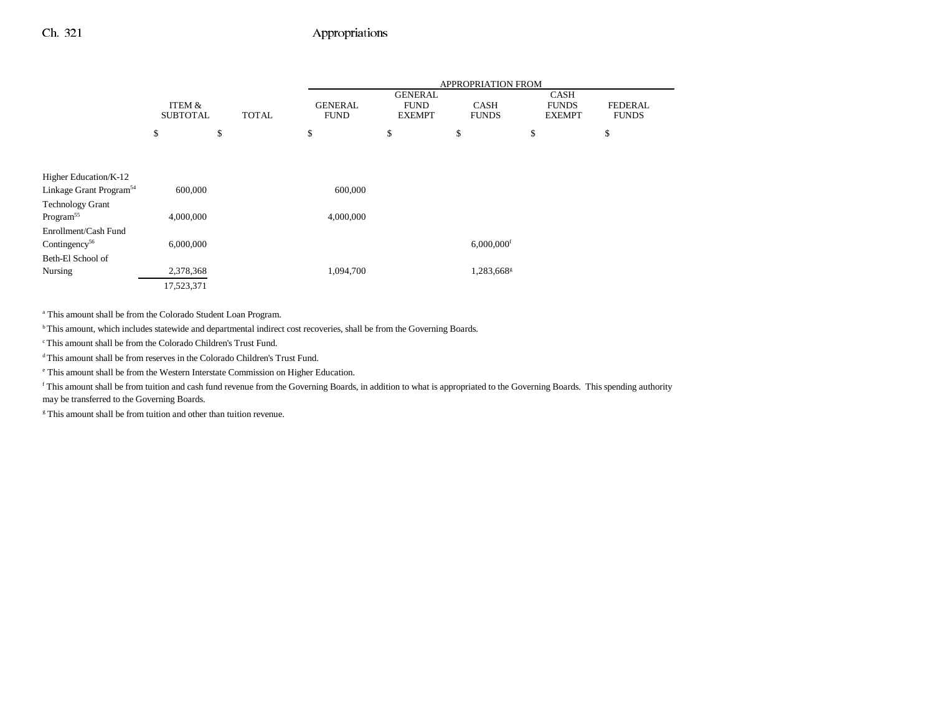|                                     |                 |              | APPROPRIATION FROM |                               |                          |                             |                |
|-------------------------------------|-----------------|--------------|--------------------|-------------------------------|--------------------------|-----------------------------|----------------|
|                                     | ITEM &          |              | <b>GENERAL</b>     | <b>GENERAL</b><br><b>FUND</b> | <b>CASH</b>              | <b>CASH</b><br><b>FUNDS</b> | <b>FEDERAL</b> |
|                                     | <b>SUBTOTAL</b> | <b>TOTAL</b> | <b>FUND</b>        | <b>EXEMPT</b>                 | <b>FUNDS</b>             | <b>EXEMPT</b>               | <b>FUNDS</b>   |
|                                     | \$              | \$           | \$                 | \$                            | \$                       | \$                          | \$             |
|                                     |                 |              |                    |                               |                          |                             |                |
|                                     |                 |              |                    |                               |                          |                             |                |
| Higher Education/K-12               |                 |              |                    |                               |                          |                             |                |
| Linkage Grant Program <sup>54</sup> | 600,000         |              | 600,000            |                               |                          |                             |                |
| <b>Technology Grant</b>             |                 |              |                    |                               |                          |                             |                |
| Program <sup>55</sup>               | 4,000,000       |              | 4,000,000          |                               |                          |                             |                |
| Enrollment/Cash Fund                |                 |              |                    |                               |                          |                             |                |
| Contingency <sup>56</sup>           | 6,000,000       |              |                    |                               | $6,000,000$ <sup>f</sup> |                             |                |
| Beth-El School of                   |                 |              |                    |                               |                          |                             |                |
| Nursing                             | 2,378,368       |              | 1,094,700          |                               | 1,283,668 <sup>g</sup>   |                             |                |
|                                     | 17,523,371      |              |                    |                               |                          |                             |                |

a This amount shall be from the Colorado Student Loan Program.

b This amount, which includes statewide and departmental indirect cost recoveries, shall be from the Governing Boards.

c This amount shall be from the Colorado Children's Trust Fund.

d This amount shall be from reserves in the Colorado Children's Trust Fund.

e This amount shall be from the Western Interstate Commission on Higher Education.

f This amount shall be from tuition and cash fund revenue from the Governing Boards, in addition to what is appropriated to the Governing Boards. This spending authority may be transferred to the Governing Boards.

<sup>g</sup> This amount shall be from tuition and other than tuition revenue.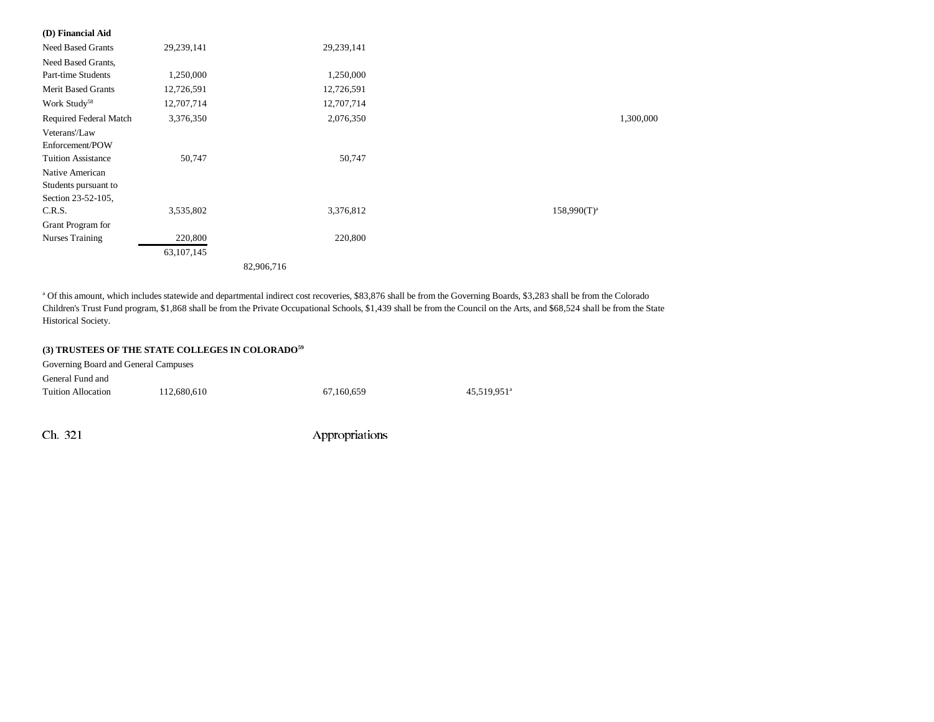#### **(D) Financial Aid**

| <b>Need Based Grants</b>                                      | 29,239,141   | 29,239,141 |                  |
|---------------------------------------------------------------|--------------|------------|------------------|
| Need Based Grants,                                            |              |            |                  |
| <b>Part-time Students</b>                                     | 1,250,000    | 1,250,000  |                  |
| <b>Merit Based Grants</b>                                     | 12,726,591   | 12,726,591 |                  |
| Work Study <sup>58</sup>                                      | 12,707,714   | 12,707,714 |                  |
| Required Federal Match                                        | 3,376,350    | 2,076,350  | 1,300,000        |
| Veterans'/Law<br>Enforcement/POW<br><b>Tuition Assistance</b> | 50,747       | 50,747     |                  |
| Native American<br>Students pursuant to<br>Section 23-52-105, |              |            |                  |
| C.R.S.                                                        | 3,535,802    | 3,376,812  | $158,990(T)^{a}$ |
| Grant Program for                                             |              |            |                  |
| <b>Nurses Training</b>                                        | 220,800      | 220,800    |                  |
|                                                               | 63, 107, 145 |            |                  |
|                                                               |              | 82,906,716 |                  |

a Of this amount, which includes statewide and departmental indirect cost recoveries, \$83,876 shall be from the Governing Boards, \$3,283 shall be from the Colorado Children's Trust Fund program, \$1,868 shall be from the Private Occupational Schools, \$1,439 shall be from the Council on the Arts, and \$68,524 shall be from the State Historical Society.

#### **(3) TRUSTEES OF THE STATE COLLEGES IN COLORADO59**

| Governing Board and General Campuses |             |            |                         |  |  |
|--------------------------------------|-------------|------------|-------------------------|--|--|
| General Fund and                     |             |            |                         |  |  |
| Tuition Allocation                   | 112,680,610 | 67.160.659 | 45.519.951 <sup>a</sup> |  |  |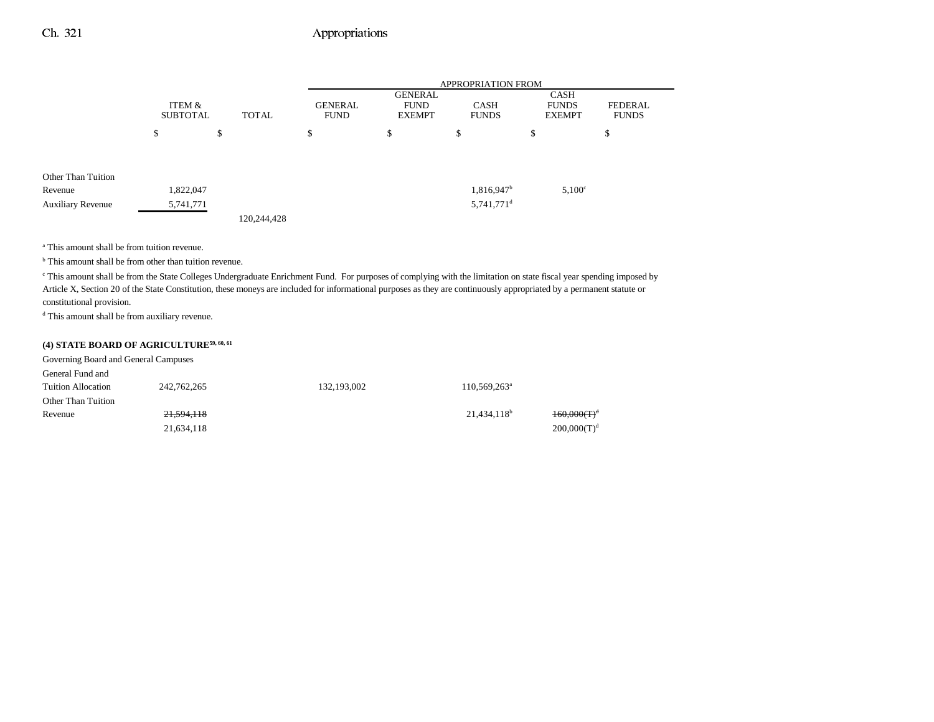|                          |                           |              | <b>APPROPRIATION FROM</b>     |                                                |                             |                                              |                                |
|--------------------------|---------------------------|--------------|-------------------------------|------------------------------------------------|-----------------------------|----------------------------------------------|--------------------------------|
|                          | ITEM &<br><b>SUBTOTAL</b> | <b>TOTAL</b> | <b>GENERAL</b><br><b>FUND</b> | <b>GENERAL</b><br><b>FUND</b><br><b>EXEMPT</b> | <b>CASH</b><br><b>FUNDS</b> | <b>CASH</b><br><b>FUNDS</b><br><b>EXEMPT</b> | <b>FEDERAL</b><br><b>FUNDS</b> |
|                          | \$                        | \$           | \$                            | \$                                             | \$                          | \$                                           | \$                             |
| Other Than Tuition       |                           |              |                               |                                                |                             |                                              |                                |
| Revenue                  | 1,822,047                 |              |                               |                                                | 1,816,947 <sup>b</sup>      | $5,100^\circ$                                |                                |
| <b>Auxiliary Revenue</b> | 5,741,771                 |              |                               |                                                | $5,741,771$ <sup>d</sup>    |                                              |                                |
|                          |                           | 120,244,428  |                               |                                                |                             |                                              |                                |

a This amount shall be from tuition revenue.

<sup>b</sup> This amount shall be from other than tuition revenue.

c This amount shall be from the State Colleges Undergraduate Enrichment Fund. For purposes of complying with the limitation on state fiscal year spending imposed by Article X, Section 20 of the State Constitution, these moneys are included for informational purposes as they are continuously appropriated by a permanent statute or constitutional provision.

d This amount shall be from auxiliary revenue.

## **(4) STATE BOARD OF AGRICULTURE59, 60, 61**

| Governing Board and General Campuses |             |             |                         |                |
|--------------------------------------|-------------|-------------|-------------------------|----------------|
| General Fund and                     |             |             |                         |                |
| <b>Tuition Allocation</b>            | 242,762,265 | 132,193,002 | $110,569,263^{\circ}$   |                |
| Other Than Tuition                   |             |             |                         |                |
| Revenue                              | 21,594,118  |             | 21,434,118 <sup>b</sup> | $160,000(T)^d$ |
|                                      | 21,634,118  |             |                         | $200,000(T)^d$ |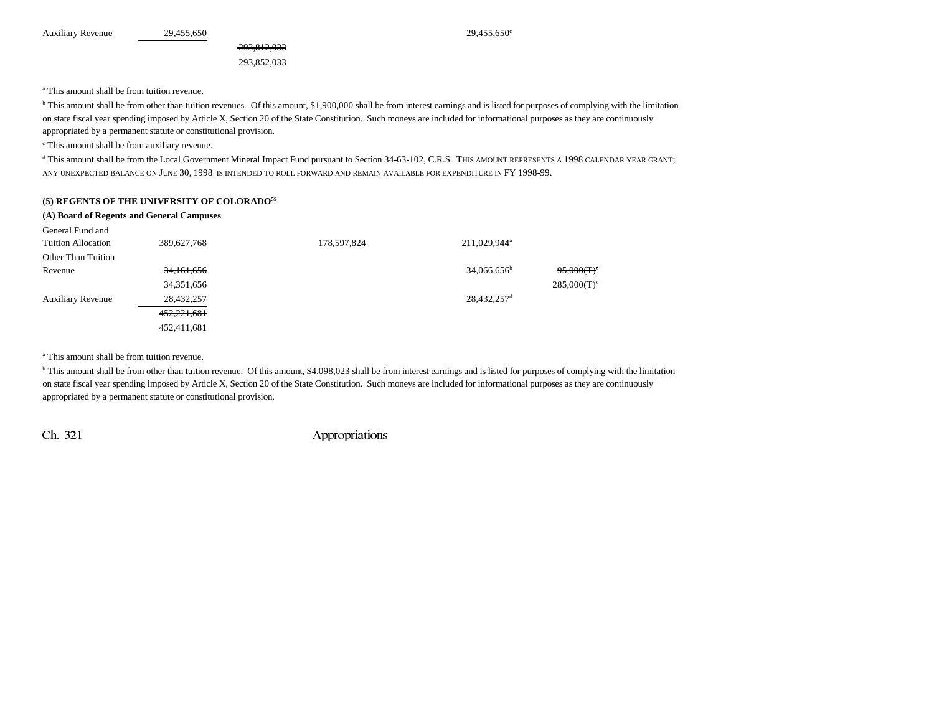293,852,033

293,812,033

a This amount shall be from tuition revenue.

<sup>b</sup> This amount shall be from other than tuition revenues. Of this amount, \$1,900,000 shall be from interest earnings and is listed for purposes of complying with the limitation on state fiscal year spending imposed by Article X, Section 20 of the State Constitution. Such moneys are included for informational purposes as they are continuously appropriated by a permanent statute or constitutional provision.

c This amount shall be from auxiliary revenue.

d This amount shall be from the Local Government Mineral Impact Fund pursuant to Section 34-63-102, C.R.S. THIS AMOUNT REPRESENTS A 1998 CALENDAR YEAR GRANT; ANY UNEXPECTED BALANCE ON JUNE 30, 1998 IS INTENDED TO ROLL FORWARD AND REMAIN AVAILABLE FOR EXPENDITURE IN FY 1998-99.

#### **(5) REGENTS OF THE UNIVERSITY OF COLORADO59**

| (A) Board of Regents and General Campuses |             |             |                          |                |  |  |  |  |
|-------------------------------------------|-------------|-------------|--------------------------|----------------|--|--|--|--|
| General Fund and                          |             |             |                          |                |  |  |  |  |
| <b>Tuition Allocation</b>                 | 389,627,768 | 178,597,824 | 211,029,944 <sup>a</sup> |                |  |  |  |  |
| Other Than Tuition                        |             |             |                          |                |  |  |  |  |
| Revenue                                   | 34,161,656  |             | $34,066,656^b$           | $95,000(T)^c$  |  |  |  |  |
|                                           | 34,351,656  |             |                          | $285,000(T)^c$ |  |  |  |  |
| <b>Auxiliary Revenue</b>                  | 28,432,257  |             | 28,432,257 <sup>d</sup>  |                |  |  |  |  |
|                                           | 452,221,681 |             |                          |                |  |  |  |  |
|                                           | 452.411.681 |             |                          |                |  |  |  |  |

a This amount shall be from tuition revenue.

<sup>b</sup> This amount shall be from other than tuition revenue. Of this amount, \$4,098,023 shall be from interest earnings and is listed for purposes of complying with the limitation on state fiscal year spending imposed by Article X, Section 20 of the State Constitution. Such moneys are included for informational purposes as they are continuously appropriated by a permanent statute or constitutional provision.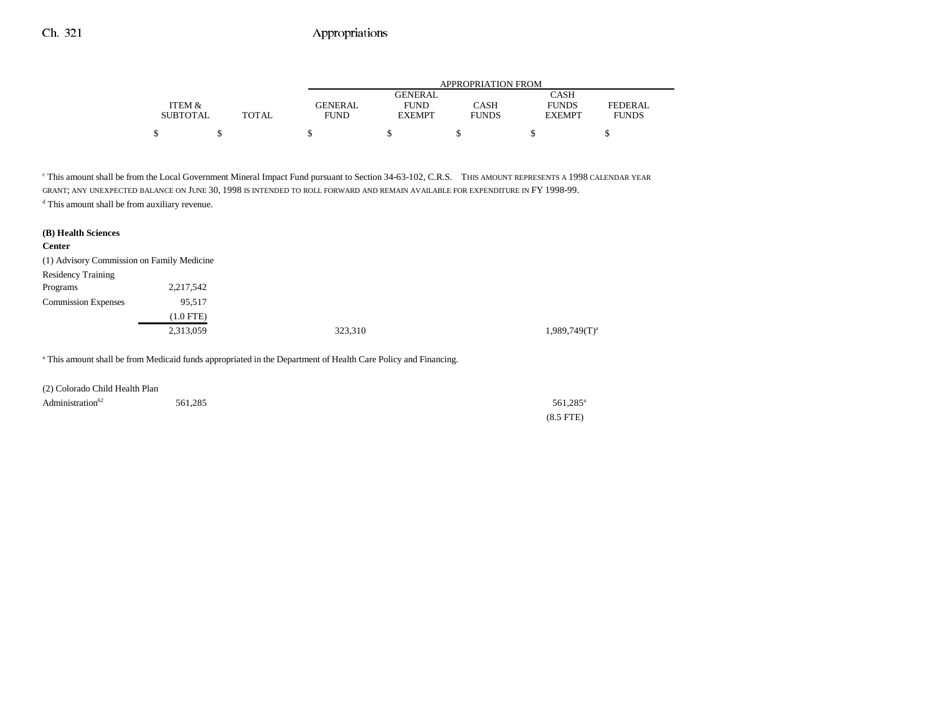|                 |              | APPROPRIATION FROM |                |              |               |              |  |
|-----------------|--------------|--------------------|----------------|--------------|---------------|--------------|--|
|                 |              |                    | <b>GENERAL</b> |              | CASH          |              |  |
| ITEM &          |              | GENERAL            | <b>FUND</b>    | CASH         | <b>FUNDS</b>  | FEDERAL      |  |
| <b>SUBTOTAL</b> | <b>TOTAL</b> | <b>FUND</b>        | <b>EXEMPT</b>  | <b>FUNDS</b> | <b>EXEMPT</b> | <b>FUNDS</b> |  |
|                 |              |                    |                |              |               |              |  |

c This amount shall be from the Local Government Mineral Impact Fund pursuant to Section 34-63-102, C.R.S. THIS AMOUNT REPRESENTS A 1998 CALENDAR YEAR GRANT; ANY UNEXPECTED BALANCE ON JUNE 30, 1998 IS INTENDED TO ROLL FORWARD AND REMAIN AVAILABLE FOR EXPENDITURE IN FY 1998-99.

d This amount shall be from auxiliary revenue.

| (B) Health Sciences<br><b>Center</b>       |             |         |                    |
|--------------------------------------------|-------------|---------|--------------------|
| (1) Advisory Commission on Family Medicine |             |         |                    |
| <b>Residency Training</b>                  |             |         |                    |
| Programs                                   | 2,217,542   |         |                    |
| <b>Commission Expenses</b>                 | 95,517      |         |                    |
|                                            | $(1.0$ FTE) |         |                    |
|                                            | 2,313,059   | 323,310 | $1,989,749(T)^{a}$ |

a This amount shall be from Medicaid funds appropriated in the Department of Health Care Policy and Financing.

| (2) Colorado Child Health Plan |         |                      |
|--------------------------------|---------|----------------------|
| Administration <sup>62</sup>   | 561.285 | 561.285 <sup>a</sup> |
|                                |         | $(8.5$ FTE)          |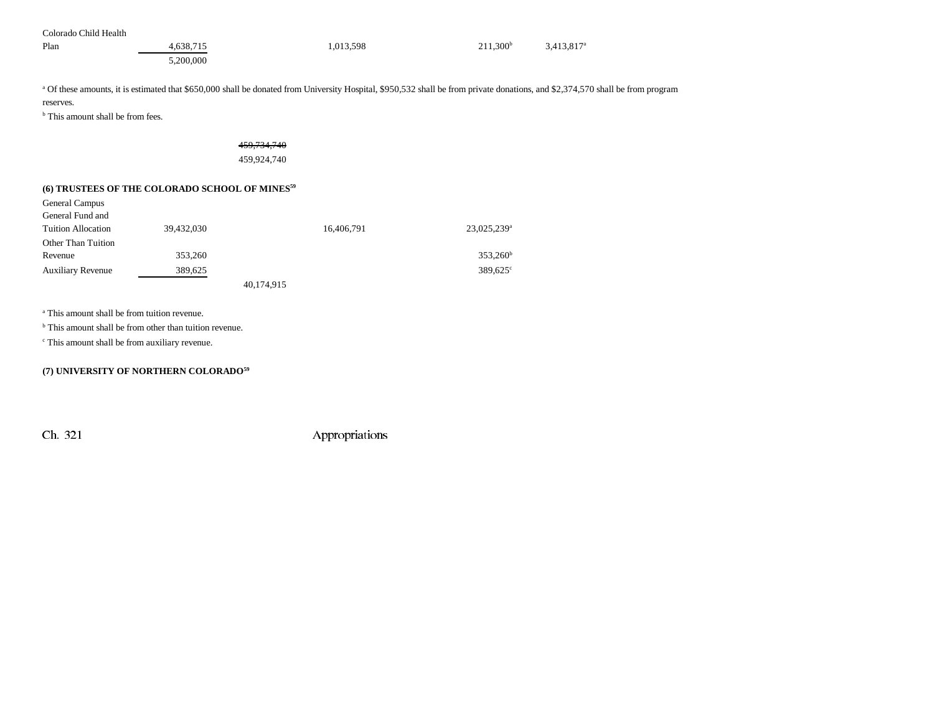| Colorado Child Health |           |           |                      |                          |
|-----------------------|-----------|-----------|----------------------|--------------------------|
| Plan                  | 4.638.715 | 1,013,598 | 211.300 <sup>b</sup> | $3,413,817$ <sup>a</sup> |
|                       | 5,200,000 |           |                      |                          |

<sup>a</sup> Of these amounts, it is estimated that \$650,000 shall be donated from University Hospital, \$950,532 shall be from private donations, and \$2,374,570 shall be from program reserves.

<sup>b</sup> This amount shall be from fees.

# 459,734,740

459,924,740

### **(6) TRUSTEES OF THE COLORADO SCHOOL OF MINES59**

| General Campus            |            |            |                         |
|---------------------------|------------|------------|-------------------------|
| General Fund and          |            |            |                         |
| <b>Tuition Allocation</b> | 39,432,030 | 16,406,791 | 23,025,239 <sup>a</sup> |
| Other Than Tuition        |            |            |                         |
| Revenue                   | 353,260    |            | $353,260^{\rm b}$       |
| <b>Auxiliary Revenue</b>  | 389,625    |            | $389,625^{\circ}$       |
|                           |            | 40,174,915 |                         |

a This amount shall be from tuition revenue.

<sup>b</sup> This amount shall be from other than tuition revenue.

c This amount shall be from auxiliary revenue.

### **(7) UNIVERSITY OF NORTHERN COLORADO59**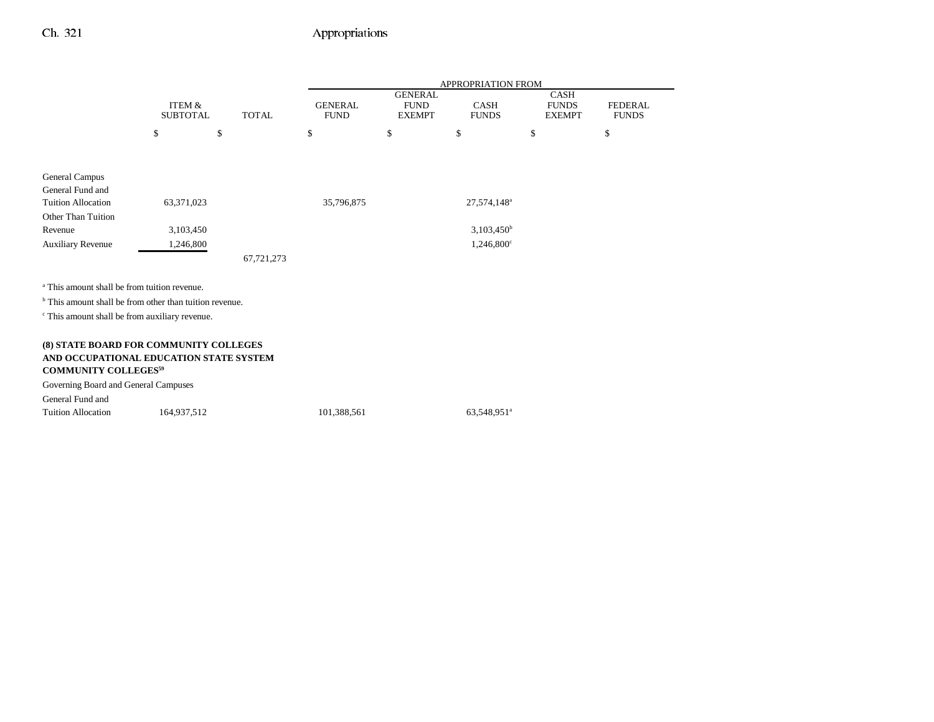|                                                                                   |                                      |              |                               |                                                | <b>APPROPRIATION FROM</b>   |                                              |                                |
|-----------------------------------------------------------------------------------|--------------------------------------|--------------|-------------------------------|------------------------------------------------|-----------------------------|----------------------------------------------|--------------------------------|
|                                                                                   | <b>ITEM &amp;</b><br><b>SUBTOTAL</b> | <b>TOTAL</b> | <b>GENERAL</b><br><b>FUND</b> | <b>GENERAL</b><br><b>FUND</b><br><b>EXEMPT</b> | <b>CASH</b><br><b>FUNDS</b> | <b>CASH</b><br><b>FUNDS</b><br><b>EXEMPT</b> | <b>FEDERAL</b><br><b>FUNDS</b> |
|                                                                                   | \$                                   | \$           | \$                            | \$                                             | \$                          | \$                                           | \$                             |
|                                                                                   |                                      |              |                               |                                                |                             |                                              |                                |
| General Campus<br>General Fund and                                                |                                      |              |                               |                                                |                             |                                              |                                |
| <b>Tuition Allocation</b>                                                         | 63,371,023                           |              | 35,796,875                    |                                                | 27,574,148 <sup>a</sup>     |                                              |                                |
| Other Than Tuition                                                                |                                      |              |                               |                                                |                             |                                              |                                |
| Revenue                                                                           | 3,103,450                            |              |                               |                                                | $3,103,450^{\rm b}$         |                                              |                                |
| <b>Auxiliary Revenue</b>                                                          | 1,246,800                            |              |                               |                                                | 1,246,800°                  |                                              |                                |
|                                                                                   |                                      | 67,721,273   |                               |                                                |                             |                                              |                                |
| <sup>a</sup> This amount shall be from tuition revenue.                           |                                      |              |                               |                                                |                             |                                              |                                |
| <sup>b</sup> This amount shall be from other than tuition revenue.                |                                      |              |                               |                                                |                             |                                              |                                |
| <sup>c</sup> This amount shall be from auxiliary revenue.                         |                                      |              |                               |                                                |                             |                                              |                                |
|                                                                                   |                                      |              |                               |                                                |                             |                                              |                                |
| (8) STATE BOARD FOR COMMUNITY COLLEGES                                            |                                      |              |                               |                                                |                             |                                              |                                |
| AND OCCUPATIONAL EDUCATION STATE SYSTEM<br><b>COMMUNITY COLLEGES<sup>59</sup></b> |                                      |              |                               |                                                |                             |                                              |                                |
| Governing Board and General Campuses                                              |                                      |              |                               |                                                |                             |                                              |                                |
| General Fund and                                                                  |                                      |              |                               |                                                |                             |                                              |                                |
| <b>Tuition Allocation</b>                                                         | 164,937,512                          |              | 101,388,561                   |                                                | 63,548,951 <sup>a</sup>     |                                              |                                |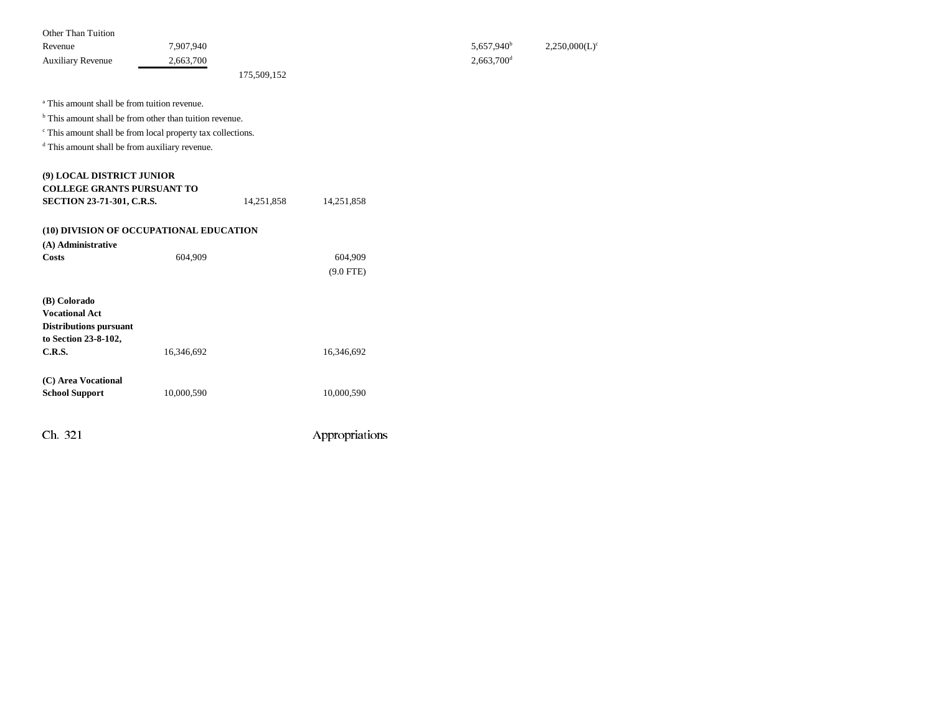| Other Than Tuition       |             |                          |                  |
|--------------------------|-------------|--------------------------|------------------|
| Revenue                  | 7.907.940   | 5,657,940 <sup>b</sup>   | $2,250,000(L)^c$ |
| <b>Auxiliary Revenue</b> | 2,663,700   | $2,663,700$ <sup>d</sup> |                  |
|                          | 175,509,152 |                          |                  |

a This amount shall be from tuition revenue.

<sup>b</sup> This amount shall be from other than tuition revenue.

 $\,^{\mathrm{c}}$  This amount shall be from local property tax collections.

d This amount shall be from auxiliary revenue.

| (9) LOCAL DISTRICT JUNIOR               |            |            |                |
|-----------------------------------------|------------|------------|----------------|
| <b>COLLEGE GRANTS PURSUANT TO</b>       |            |            |                |
| <b>SECTION 23-71-301, C.R.S.</b>        |            | 14,251,858 | 14,251,858     |
| (10) DIVISION OF OCCUPATIONAL EDUCATION |            |            |                |
| (A) Administrative                      |            |            |                |
| Costs                                   | 604,909    |            | 604,909        |
|                                         |            |            | $(9.0$ FTE)    |
| (B) Colorado                            |            |            |                |
| <b>Vocational Act</b>                   |            |            |                |
| <b>Distributions pursuant</b>           |            |            |                |
| to Section 23-8-102,                    |            |            |                |
| C.R.S.                                  | 16,346,692 |            | 16,346,692     |
| (C) Area Vocational                     |            |            |                |
| <b>School Support</b>                   | 10,000,590 |            | 10,000,590     |
|                                         |            |            |                |
| Ch. 321                                 |            |            | Appropriations |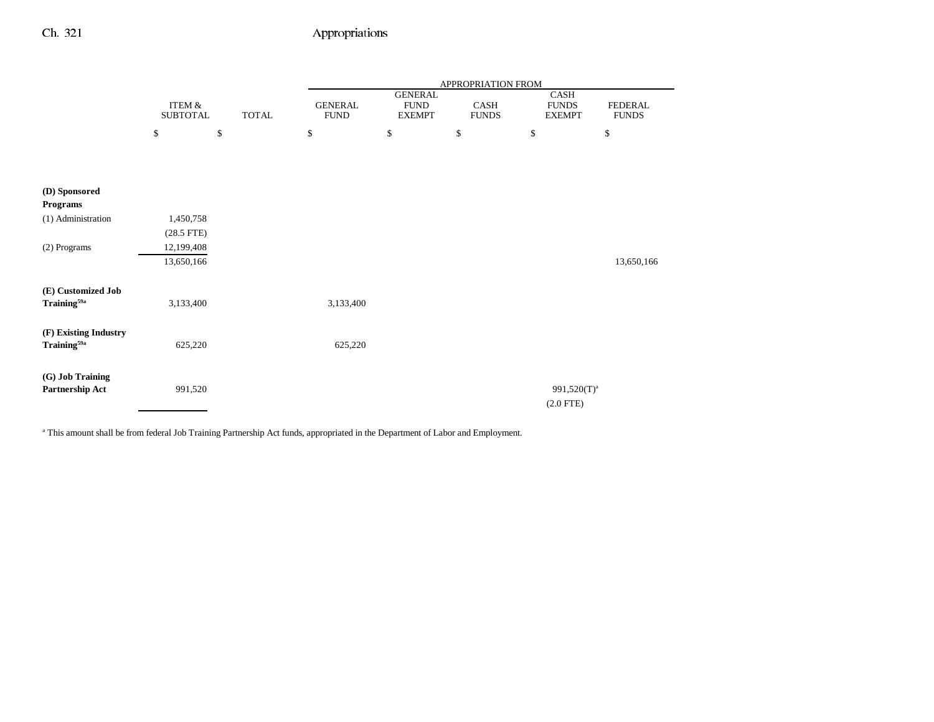|                                  |                                      |              |                               |                                                | APPROPRIATION FROM   |                                       |                                |
|----------------------------------|--------------------------------------|--------------|-------------------------------|------------------------------------------------|----------------------|---------------------------------------|--------------------------------|
|                                  | <b>ITEM &amp;</b><br><b>SUBTOTAL</b> | <b>TOTAL</b> | <b>GENERAL</b><br><b>FUND</b> | <b>GENERAL</b><br><b>FUND</b><br><b>EXEMPT</b> | CASH<br><b>FUNDS</b> | CASH<br><b>FUNDS</b><br><b>EXEMPT</b> | <b>FEDERAL</b><br><b>FUNDS</b> |
|                                  | \$                                   | $\mathbb{S}$ | $\mathbb{S}$                  | $\mathbb{S}$                                   | $\$$                 | $\$$                                  | $\mathbb{S}$                   |
|                                  |                                      |              |                               |                                                |                      |                                       |                                |
|                                  |                                      |              |                               |                                                |                      |                                       |                                |
| (D) Sponsored<br><b>Programs</b> |                                      |              |                               |                                                |                      |                                       |                                |
| (1) Administration               | 1,450,758                            |              |                               |                                                |                      |                                       |                                |
| (2) Programs                     | $(28.5$ FTE)<br>12,199,408           |              |                               |                                                |                      |                                       |                                |
|                                  | 13,650,166                           |              |                               |                                                |                      |                                       | 13,650,166                     |
| (E) Customized Job               |                                      |              |                               |                                                |                      |                                       |                                |
| Training <sup>59a</sup>          | 3,133,400                            |              | 3,133,400                     |                                                |                      |                                       |                                |
| (F) Existing Industry            |                                      |              |                               |                                                |                      |                                       |                                |
| Training <sup>59a</sup>          | 625,220                              |              | 625,220                       |                                                |                      |                                       |                                |
| (G) Job Training                 |                                      |              |                               |                                                |                      |                                       |                                |
| Partnership Act                  | 991,520                              |              |                               |                                                |                      | 991,520(T) <sup>a</sup>               |                                |
|                                  |                                      |              |                               |                                                |                      | $(2.0$ FTE)                           |                                |

<sup>a</sup> This amount shall be from federal Job Training Partnership Act funds, appropriated in the Department of Labor and Employment.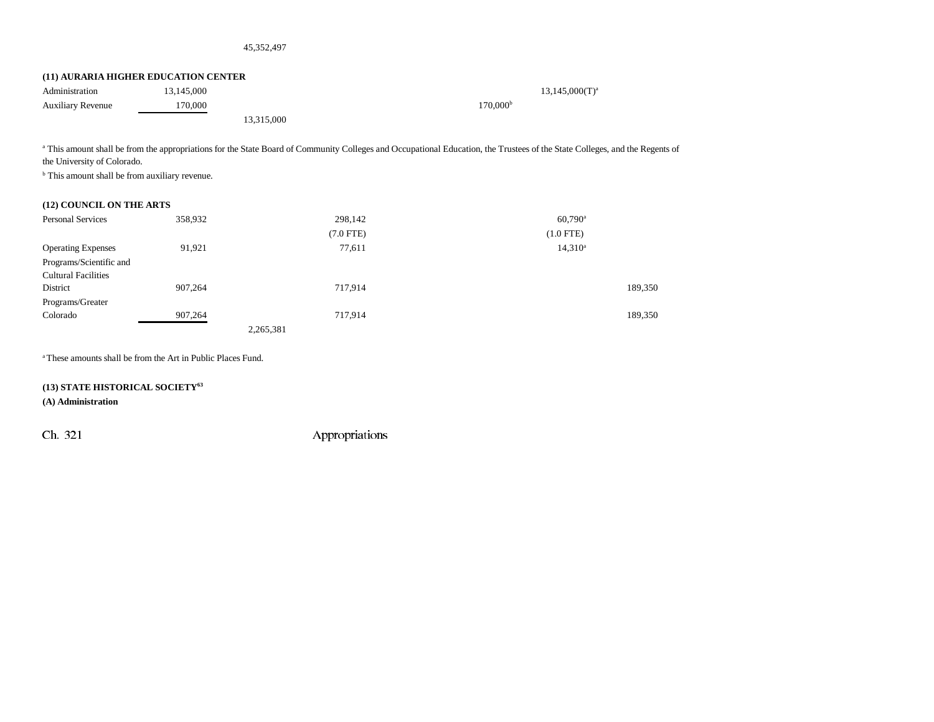#### 45,352,497

#### **(11) AURARIA HIGHER EDUCATION CENTER**

| Administration           | 13.145.000 |            | $13,145,000(T)^{a}$  |
|--------------------------|------------|------------|----------------------|
| <b>Auxiliary Revenue</b> | 170,000    |            | 170,000 <sup>b</sup> |
|                          |            | 13,315,000 |                      |

<sup>a</sup> This amount shall be from the appropriations for the State Board of Community Colleges and Occupational Education, the Trustees of the State Colleges, and the Regents of the University of Colorado.

<sup>b</sup> This amount shall be from auxiliary revenue.

### **(12) COUNCIL ON THE ARTS**

| <b>Personal Services</b>   | 358,932 | 298,142     | $60,790^{\rm a}$ |
|----------------------------|---------|-------------|------------------|
|                            |         | $(7.0$ FTE) | $(1.0$ FTE)      |
| <b>Operating Expenses</b>  | 91,921  | 77,611      | $14,310^a$       |
| Programs/Scientific and    |         |             |                  |
| <b>Cultural Facilities</b> |         |             |                  |
| District                   | 907,264 | 717,914     | 189,350          |
| Programs/Greater           |         |             |                  |
| Colorado                   | 907,264 | 717,914     | 189,350          |
|                            |         | 2,265,381   |                  |

a These amounts shall be from the Art in Public Places Fund.

#### **(13) STATE HISTORICAL SOCIETY63**

**(A) Administration**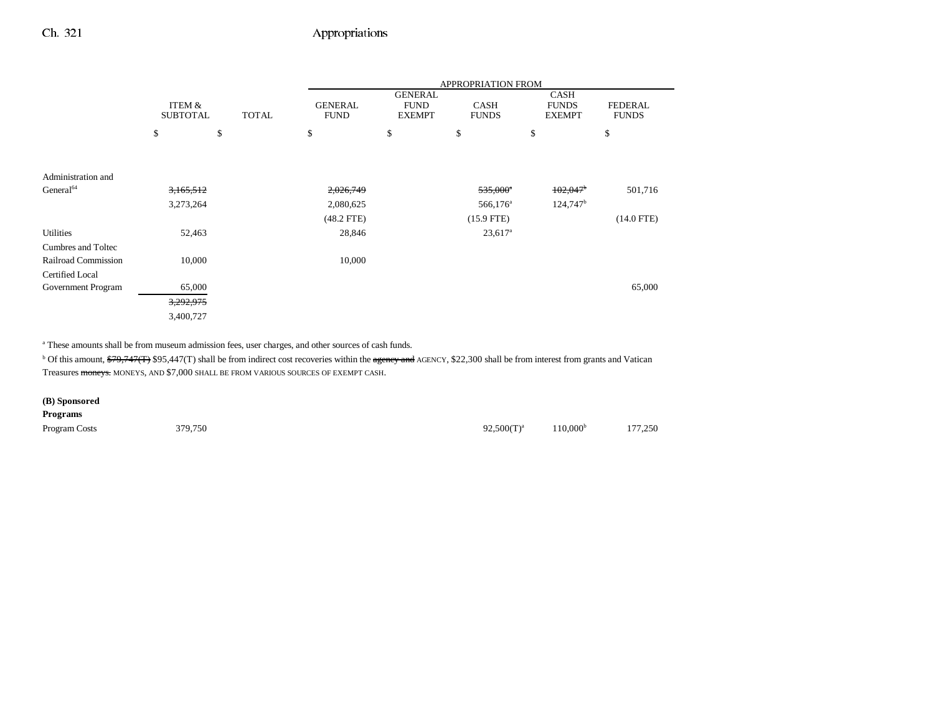|                       |                 |              |                |                | APPROPRIATION FROM    |                        |                |
|-----------------------|-----------------|--------------|----------------|----------------|-----------------------|------------------------|----------------|
|                       |                 |              |                | <b>GENERAL</b> |                       | <b>CASH</b>            |                |
|                       | ITEM &          |              | <b>GENERAL</b> | <b>FUND</b>    | <b>CASH</b>           | <b>FUNDS</b>           | <b>FEDERAL</b> |
|                       | <b>SUBTOTAL</b> | <b>TOTAL</b> | <b>FUND</b>    | <b>EXEMPT</b>  | <b>FUNDS</b>          | <b>EXEMPT</b>          | <b>FUNDS</b>   |
|                       | \$              | \$           | \$             | \$             | \$                    | \$                     | \$             |
|                       |                 |              |                |                |                       |                        |                |
| Administration and    |                 |              |                |                |                       |                        |                |
| General <sup>64</sup> | 3,165,512       |              | 2,026,749      |                | $535,000^{\circ}$     | 102,047                | 501,716        |
|                       | 3,273,264       |              | 2,080,625      |                | $566,176^{\circ}$     | $124,747$ <sup>b</sup> |                |
|                       |                 |              | $(48.2$ FTE)   |                | $(15.9$ FTE)          |                        | $(14.0$ FTE)   |
| <b>Utilities</b>      | 52,463          |              | 28,846         |                | $23,617$ <sup>a</sup> |                        |                |
| Cumbres and Toltec    |                 |              |                |                |                       |                        |                |
| Railroad Commission   | 10,000          |              | 10,000         |                |                       |                        |                |
| Certified Local       |                 |              |                |                |                       |                        |                |
| Government Program    | 65,000          |              |                |                |                       |                        | 65,000         |
|                       | 3,292,975       |              |                |                |                       |                        |                |
|                       | 3,400,727       |              |                |                |                       |                        |                |

a These amounts shall be from museum admission fees, user charges, and other sources of cash funds.

<sup>b</sup> Of this amount,  $\frac{279}{747(1)}$  \$95,447(T) shall be from indirect cost recoveries within the agency and AGENCY, \$22,300 shall be from interest from grants and Vatican Treasures moneys. MONEYS, AND \$7,000 SHALL BE FROM VARIOUS SOURCES OF EXEMPT CASH.

### **(B) Sponsored Programs** Program Costs 279,750 379,750 379,750 379,750 300000  $92,500(T)^{a}$  110,000<sup>b</sup> 177,250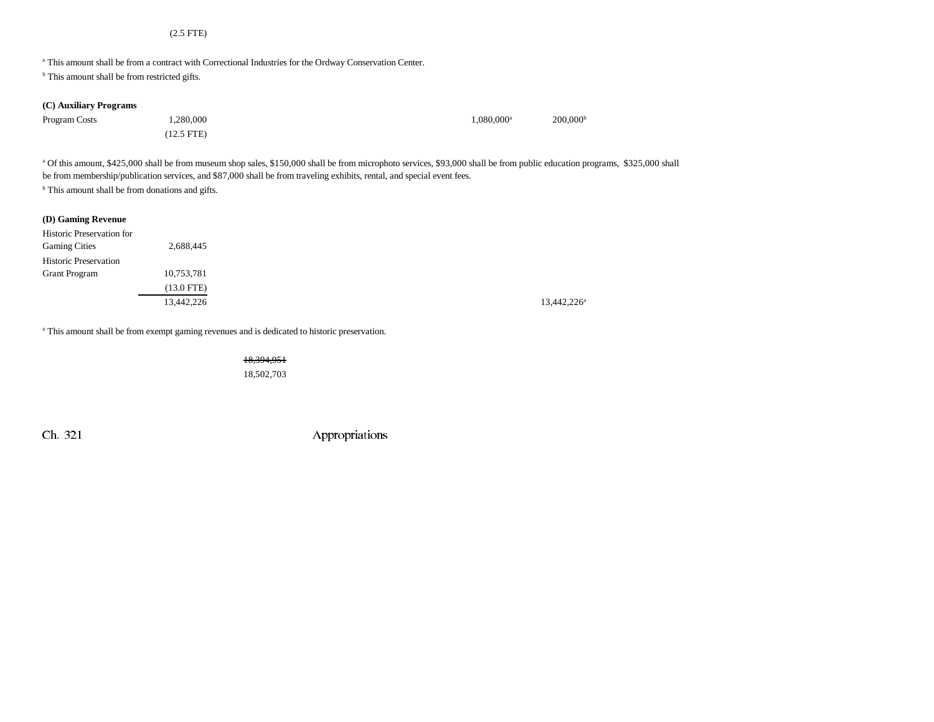#### (2.5 FTE)

a This amount shall be from a contract with Correctional Industries for the Ordway Conservation Center.

<sup>b</sup> This amount shall be from restricted gifts.

| (C) Auxiliary Programs |
|------------------------|
|------------------------|

| Program Costs | 1.280.000    | $1.080.000$ <sup>a</sup> | $200,000^{\rm b}$ |
|---------------|--------------|--------------------------|-------------------|
|               | $(12.5$ FTE) |                          |                   |

<sup>a</sup> Of this amount, \$425,000 shall be from museum shop sales, \$150,000 shall be from microphoto services, \$93,000 shall be from public education programs, \$325,000 shall be from membership/publication services, and \$87,000 shall be from traveling exhibits, rental, and special event fees. <sup>b</sup> This amount shall be from donations and gifts.

13,442,226<sup>a</sup>

|  |  | (D) Gaming Revenue |
|--|--|--------------------|
|--|--|--------------------|

| <b>Historic Preservation for</b> |            |
|----------------------------------|------------|
| <b>Gaming Cities</b>             | 2,688,445  |
| <b>Historic Preservation</b>     |            |
| <b>Grant Program</b>             | 10,753,781 |
|                                  | (13.0 FTE) |
|                                  | 13,442,226 |

<sup>a</sup> This amount shall be from exempt gaming revenues and is dedicated to historic preservation.

18,394,951 18,502,703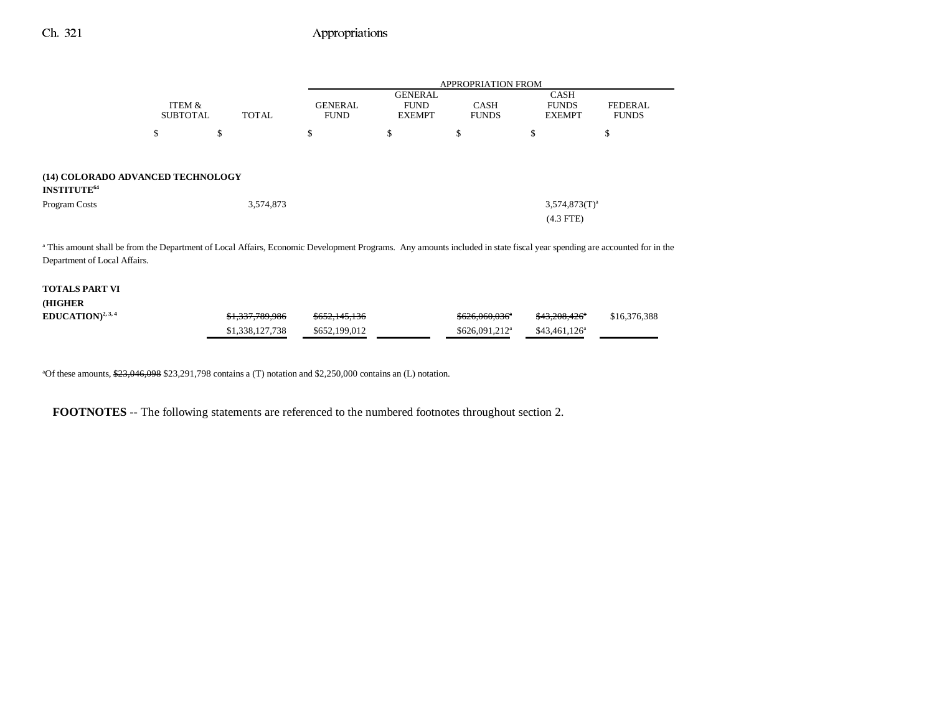|                                                                    |                           |                                                                                                                                                                                    | <b>APPROPRIATION FROM</b>                      |                             |                                              |                                |  |  |
|--------------------------------------------------------------------|---------------------------|------------------------------------------------------------------------------------------------------------------------------------------------------------------------------------|------------------------------------------------|-----------------------------|----------------------------------------------|--------------------------------|--|--|
|                                                                    | ITEM &<br><b>SUBTOTAL</b> | <b>GENERAL</b><br><b>TOTAL</b><br><b>FUND</b>                                                                                                                                      | <b>GENERAL</b><br><b>FUND</b><br><b>EXEMPT</b> | <b>CASH</b><br><b>FUNDS</b> | <b>CASH</b><br><b>FUNDS</b><br><b>EXEMPT</b> | <b>FEDERAL</b><br><b>FUNDS</b> |  |  |
|                                                                    | \$                        | \$<br>\$                                                                                                                                                                           | \$                                             | \$                          | \$                                           | \$                             |  |  |
| (14) COLORADO ADVANCED TECHNOLOGY<br><b>INSTITUTE<sup>64</sup></b> |                           |                                                                                                                                                                                    |                                                |                             |                                              |                                |  |  |
| Program Costs                                                      |                           | 3,574,873                                                                                                                                                                          | $3,574,873(T)^a$                               |                             |                                              |                                |  |  |
|                                                                    |                           |                                                                                                                                                                                    |                                                |                             | $(4.3$ FTE)                                  |                                |  |  |
|                                                                    |                           | <sup>a</sup> This amount shall be from the Department of Local Affairs, Economic Development Programs. Any amounts included in state fiscal year spending are accounted for in the |                                                |                             |                                              |                                |  |  |
| Department of Local Affairs.                                       |                           |                                                                                                                                                                                    |                                                |                             |                                              |                                |  |  |

| TOTALS PART VI         |                            |                          |                            |                           |              |
|------------------------|----------------------------|--------------------------|----------------------------|---------------------------|--------------|
| <b>HIGHER</b>          |                            |                          |                            |                           |              |
| $EDUCATION)^{2, 3, 4}$ | <del>\$1,337,789,986</del> | <del>\$652,145,136</del> | \$626.060.036 <sup>a</sup> | <del>\$43,208,426</del> * | \$16,376,388 |
|                        | \$1,338,127,738            | \$652,199,012            | $$626.091.212^a$           | $$43,461,126^a$           |              |

<sup>a</sup>Of these amounts, \$23,046,098 \$23,291,798 contains a (T) notation and \$2,250,000 contains an (L) notation.

**FOOTNOTES** -- The following statements are referenced to the numbered footnotes throughout section 2.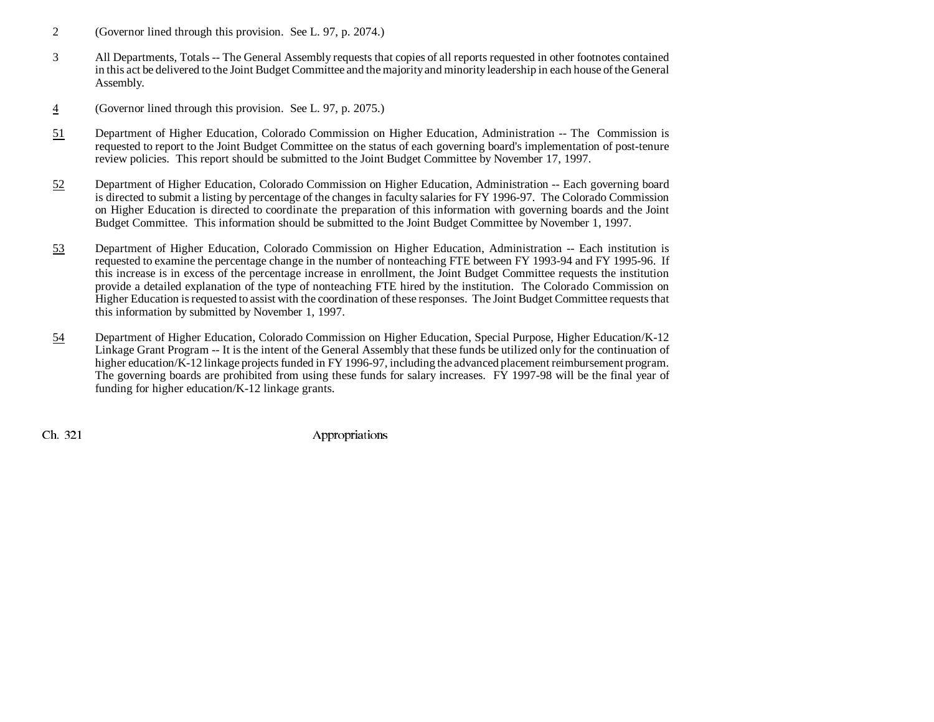- 2 (Governor lined through this provision. See L. 97, p. 2074.)
- 3 All Departments, Totals -- The General Assembly requests that copies of all reports requested in other footnotes contained in this act be delivered to the Joint Budget Committee and the majority and minority leadership in each house of the General Assembly.
- 4(Governor lined through this provision. See L. 97, p. 2075.)
- 51 Department of Higher Education, Colorado Commission on Higher Education, Administration -- The Commission is requested to report to the Joint Budget Committee on the status of each governing board's implementation of post-tenure review policies. This report should be submitted to the Joint Budget Committee by November 17, 1997.
- 52 Department of Higher Education, Colorado Commission on Higher Education, Administration -- Each governing board is directed to submit a listing by percentage of the changes in faculty salaries for FY 1996-97. The Colorado Commission on Higher Education is directed to coordinate the preparation of this information with governing boards and the Joint Budget Committee. This information should be submitted to the Joint Budget Committee by November 1, 1997.
- 53 Department of Higher Education, Colorado Commission on Higher Education, Administration -- Each institution is requested to examine the percentage change in the number of nonteaching FTE between FY 1993-94 and FY 1995-96. If this increase is in excess of the percentage increase in enrollment, the Joint Budget Committee requests the institution provide a detailed explanation of the type of nonteaching FTE hired by the institution. The Colorado Commission on Higher Education is requested to assist with the coordination of these responses. The Joint Budget Committee requests that this information by submitted by November 1, 1997.
- 54 Department of Higher Education, Colorado Commission on Higher Education, Special Purpose, Higher Education/K-12 Linkage Grant Program -- It is the intent of the General Assembly that these funds be utilized only for the continuation of higher education/K-12 linkage projects funded in FY 1996-97, including the advanced placement reimbursement program. The governing boards are prohibited from using these funds for salary increases. FY 1997-98 will be the final year of funding for higher education/K-12 linkage grants.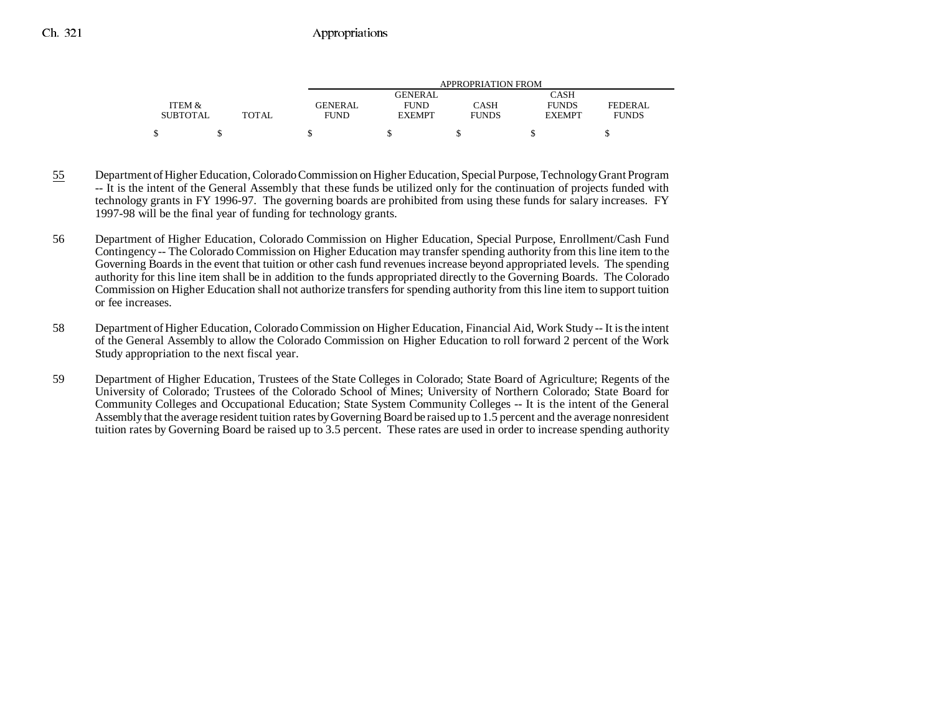|                 |              | APPROPRIATION FROM |               |              |               |                |  |
|-----------------|--------------|--------------------|---------------|--------------|---------------|----------------|--|
|                 |              |                    | GENERAL       |              | <b>CASH</b>   |                |  |
| ITEM &          |              | <b>GENERAL</b>     | <b>FUND</b>   | CASH         | <b>FUNDS</b>  | <b>FEDERAL</b> |  |
| <b>SUBTOTAL</b> | <b>TOTAL</b> | <b>FUND</b>        | <b>EXEMPT</b> | <b>FUNDS</b> | <b>EXEMPT</b> | <b>FUNDS</b>   |  |
|                 |              |                    |               |              |               |                |  |

- 55 Department of Higher Education, Colorado Commission on Higher Education, Special Purpose, Technology Grant Program -- It is the intent of the General Assembly that these funds be utilized only for the continuation of projects funded with technology grants in FY 1996-97. The governing boards are prohibited from using these funds for salary increases. FY 1997-98 will be the final year of funding for technology grants.
- 56 Department of Higher Education, Colorado Commission on Higher Education, Special Purpose, Enrollment/Cash Fund Contingency -- The Colorado Commission on Higher Education may transfer spending authority from this line item to the Governing Boards in the event that tuition or other cash fund revenues increase beyond appropriated levels. The spending authority for this line item shall be in addition to the funds appropriated directly to the Governing Boards. The Colorado Commission on Higher Education shall not authorize transfers for spending authority from this line item to support tuition or fee increases.
- 58 Department of Higher Education, Colorado Commission on Higher Education, Financial Aid, Work Study -- It is the intent of the General Assembly to allow the Colorado Commission on Higher Education to roll forward 2 percent of the Work Study appropriation to the next fiscal year.
- 59 Department of Higher Education, Trustees of the State Colleges in Colorado; State Board of Agriculture; Regents of the University of Colorado; Trustees of the Colorado School of Mines; University of Northern Colorado; State Board for Community Colleges and Occupational Education; State System Community Colleges -- It is the intent of the General Assembly that the average resident tuition rates by Governing Board be raised up to 1.5 percent and the average nonresident tuition rates by Governing Board be raised up to 3.5 percent. These rates are used in order to increase spending authority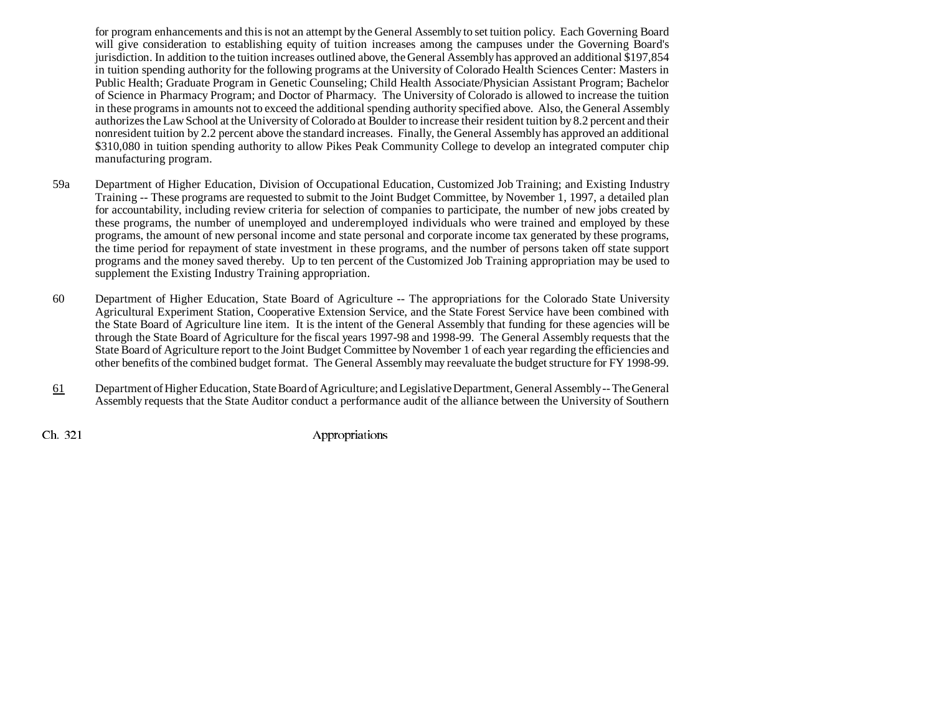for program enhancements and this is not an attempt by the General Assembly to set tuition policy. Each Governing Board will give consideration to establishing equity of tuition increases among the campuses under the Governing Board's jurisdiction. In addition to the tuition increases outlined above, the General Assembly has approved an additional \$197,854 in tuition spending authority for the following programs at the University of Colorado Health Sciences Center: Masters in Public Health; Graduate Program in Genetic Counseling; Child Health Associate/Physician Assistant Program; Bachelor of Science in Pharmacy Program; and Doctor of Pharmacy. The University of Colorado is allowed to increase the tuition in these programs in amounts not to exceed the additional spending authority specified above. Also, the General Assembly authorizes the Law School at the University of Colorado at Boulder to increase their resident tuition by 8.2 percent and their nonresident tuition by 2.2 percent above the standard increases. Finally, the General Assembly has approved an additional \$310,080 in tuition spending authority to allow Pikes Peak Community College to develop an integrated computer chip manufacturing program.

- 59a Department of Higher Education, Division of Occupational Education, Customized Job Training; and Existing Industry Training -- These programs are requested to submit to the Joint Budget Committee, by November 1, 1997, a detailed plan for accountability, including review criteria for selection of companies to participate, the number of new jobs created by these programs, the number of unemployed and underemployed individuals who were trained and employed by these programs, the amount of new personal income and state personal and corporate income tax generated by these programs, the time period for repayment of state investment in these programs, and the number of persons taken off state support programs and the money saved thereby. Up to ten percent of the Customized Job Training appropriation may be used to supplement the Existing Industry Training appropriation.
- 60 Department of Higher Education, State Board of Agriculture -- The appropriations for the Colorado State University Agricultural Experiment Station, Cooperative Extension Service, and the State Forest Service have been combined with the State Board of Agriculture line item. It is the intent of the General Assembly that funding for these agencies will be through the State Board of Agriculture for the fiscal years 1997-98 and 1998-99. The General Assembly requests that the State Board of Agriculture report to the Joint Budget Committee by November 1 of each year regarding the efficiencies and other benefits of the combined budget format. The General Assembly may reevaluate the budget structure for FY 1998-99.
- 61 Department of Higher Education, State Board of Agriculture; and Legislative Department, General Assembly -- The General Assembly requests that the State Auditor conduct a performance audit of the alliance between the University of Southern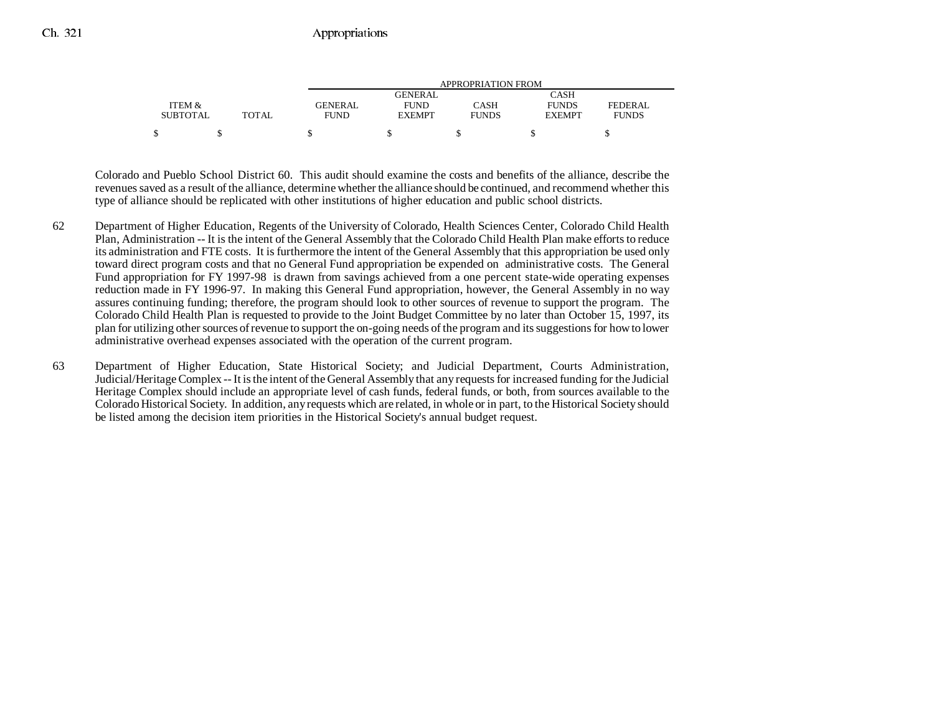|                 |       | APPROPRIATION FROM |               |              |               |                |  |
|-----------------|-------|--------------------|---------------|--------------|---------------|----------------|--|
|                 |       |                    | GENERAL       |              | CASH          |                |  |
| ITEM &          |       | GENERAL            | <b>FUND</b>   | <b>CASH</b>  | <b>FUNDS</b>  | <b>FEDERAL</b> |  |
| <b>SUBTOTAL</b> | TOTAL | <b>FUND</b>        | <b>EXEMPT</b> | <b>FUNDS</b> | <b>EXEMPT</b> | <b>FUNDS</b>   |  |
| \$              |       |                    |               |              |               |                |  |

Colorado and Pueblo School District 60. This audit should examine the costs and benefits of the alliance, describe the revenues saved as a result of the alliance, determine whether the alliance should be continued, and recommend whether this type of alliance should be replicated with other institutions of higher education and public school districts.

- 62 Department of Higher Education, Regents of the University of Colorado, Health Sciences Center, Colorado Child Health Plan, Administration -- It is the intent of the General Assembly that the Colorado Child Health Plan make efforts to reduce its administration and FTE costs. It is furthermore the intent of the General Assembly that this appropriation be used only toward direct program costs and that no General Fund appropriation be expended on administrative costs. The General Fund appropriation for FY 1997-98 is drawn from savings achieved from a one percent state-wide operating expenses reduction made in FY 1996-97. In making this General Fund appropriation, however, the General Assembly in no way assures continuing funding; therefore, the program should look to other sources of revenue to support the program. The Colorado Child Health Plan is requested to provide to the Joint Budget Committee by no later than October 15, 1997, its plan for utilizing other sources of revenue to support the on-going needs of the program and its suggestions for how to lower administrative overhead expenses associated with the operation of the current program.
- 63 Department of Higher Education, State Historical Society; and Judicial Department, Courts Administration, Judicial/Heritage Complex -- It is the intent of the General Assembly that any requests for increased funding for the Judicial Heritage Complex should include an appropriate level of cash funds, federal funds, or both, from sources available to the Colorado Historical Society. In addition, any requests which are related, in whole or in part, to the Historical Society should be listed among the decision item priorities in the Historical Society's annual budget request.